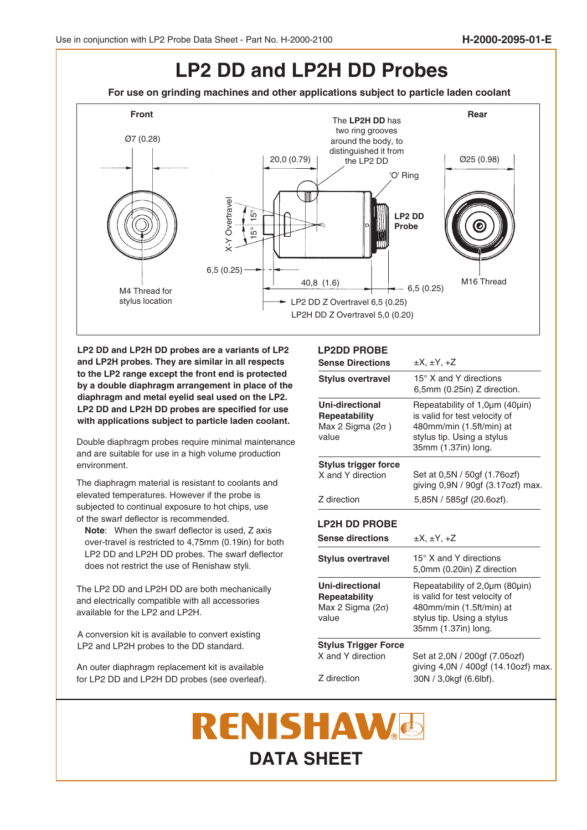## **LP2 DD and LP2H DD Probes**

**For use on grinding machines and other applications subject to particle laden coolant**



**LP2 DD and LP2H DD probes are a variants of LP2 and LP2H probes. They are similar in all respects to the LP2 range except the front end is protected by a double diaphragm arrangement in place of the diaphragm and metal eyelid seal used on the LP2. LP2 DD and LP2H DD probes are specified for use with applications subject to particle laden coolant.**

Double diaphragm probes require minimal maintenance and are suitable for use in a high volume production environment.

The diaphragm material is resistant to coolants and elevated temperatures. However if the probe is subjected to continual exposure to hot chips, use of the swarf deflector is recommended.

**Note**: When the swarf deflector is used, Z axis over-travel is restricted to 4,75mm (0.19in) for both LP2 DD and LP2H DD probes. The swarf deflector does not restrict the use of Renishaw styli.

The LP2 DD and LP2H DD are both mechanically and electrically compatible with all accessories available for the LP2 and LP2H.

A conversion kit is available to convert existing LP2 and LP2H probes to the DD standard.

An outer diaphragm replacement kit is available for LP2 DD and LP2H DD probes (see overleaf).

## **LP2DD PROBE**

| <b>Sense Directions</b>                                                              | $\pm X, \pm Y, +Z$                                                                                                                               |  |
|--------------------------------------------------------------------------------------|--------------------------------------------------------------------------------------------------------------------------------------------------|--|
| <b>Stylus overtravel</b>                                                             | 15° X and Y directions<br>6,5mm (0.25in) Z direction.                                                                                            |  |
| <b>Uni-directional</b><br><b>Repeatability</b><br>Max 2 Sigma ( $2\sigma$ )<br>value | Repeatability of 1,0µm (40µin)<br>is valid for test velocity of<br>480mm/min (1.5ft/min) at<br>stylus tip. Using a stylus<br>35mm (1.37in) long. |  |
| Stylus trigger force                                                                 |                                                                                                                                                  |  |
| X and Y direction                                                                    | Set at 0,5N / 50gf (1.76ozf)<br>giving 0,9N / 90gf (3.17ozf) max.                                                                                |  |
| Z direction                                                                          | 5,85N / 585gf (20.6ozf).                                                                                                                         |  |
| <b>LP2H DD PROBE</b>                                                                 |                                                                                                                                                  |  |
| <b>Sense directions</b>                                                              | $\pm X, \pm Y, +Z$                                                                                                                               |  |
| <b>Stylus overtravel</b>                                                             | 15° X and Y directions<br>5,0mm (0.20in) Z direction                                                                                             |  |
| <b>Uni-directional</b><br><b>Repeatability</b><br>Max 2 Sigma $(2\sigma)$<br>value   | Repeatability of 2,0µm (80µin)<br>is valid for test velocity of<br>480mm/min (1.5ft/min) at<br>stylus tip. Using a stylus<br>35mm (1.37in) long. |  |
| <b>Stylus Trigger Force</b>                                                          |                                                                                                                                                  |  |
| X and Y direction                                                                    | Set at 2,0N / 200gf (7.05ozf)<br>giving 4,0N / 400gf (14.10ozf) max.                                                                             |  |
| Z direction                                                                          | 30N / 3,0kgf (6.6lbf).                                                                                                                           |  |

## **RENISHAW& DATA SHEET**